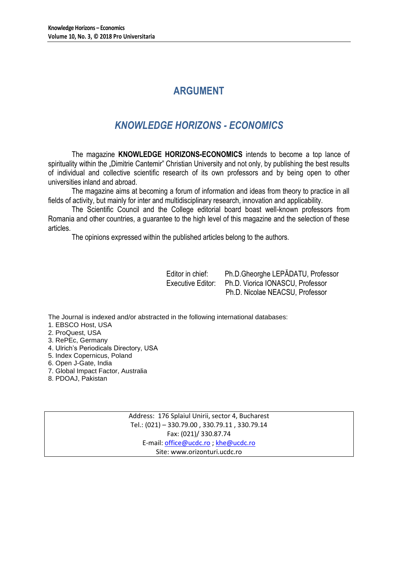# **ARGUMENT**

# *KNOWLEDGE HORIZONS - ECONOMICS*

The magazine **KNOWLEDGE HORIZONS-ECONOMICS** intends to become a top lance of spirituality within the "Dimitrie Cantemir" Christian University and not only, by publishing the best results of individual and collective scientific research of its own professors and by being open to other universities inland and abroad.

The magazine aims at becoming a forum of information and ideas from theory to practice in all fields of activity, but mainly for inter and multidisciplinary research, innovation and applicability.

The Scientific Council and the College editorial board boast well-known professors from Romania and other countries, a guarantee to the high level of this magazine and the selection of these articles.

The opinions expressed within the published articles belong to the authors.

Editor in chief: Ph.D.Gheorghe LEPĂDATU, Professor Executive Editor: Ph.D. Viorica IONASCU, Professor Ph.D. Nicolae NEACSU, Professor

The Journal is indexed and/or abstracted in the following international databases:

1. EBSCO Host, USA

- 2. ProQuest, USA
- 3. RePEc, Germany
- 4. Ulrich's Periodicals Directory, USA
- 5. Index Copernicus, Poland
- 6. Open J-Gate, India
- 7. Global Impact Factor, Australia
- 8. PDOAJ, Pakistan

Address: 176 Splaiul Unirii, sector 4, Bucharest Tel.: (021) – 330.79.00 , 330.79.11 , 330.79.14 Fax: (021)/ 330.87.74 E-mail[: office@ucdc.ro](mailto:office@ucdc.ro) [; khe@ucdc.ro](mailto:khe@ucdc.ro) Site: www.orizonturi.ucdc.ro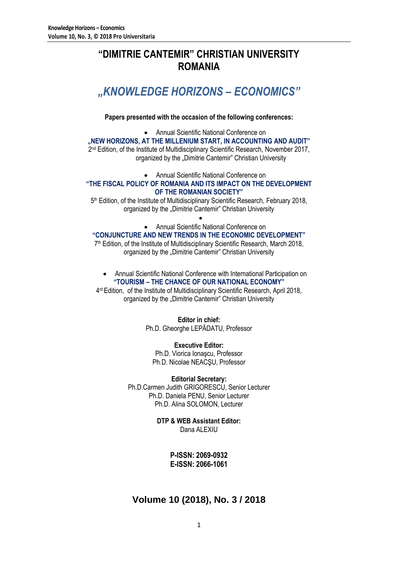# **"DIMITRIE CANTEMIR" CHRISTIAN UNIVERSITY ROMANIA**

# *"KNOWLEDGE HORIZONS – ECONOMICS"*

**Papers presented with the occasion of the following conferences:**

 Annual Scientific National Conference on **"NEW HORIZONS, AT THE MILLENIUM START, IN ACCOUNTING AND AUDIT"** 2<sup>nd</sup> Edition, of the Institute of Multidisciplinary Scientific Research, November 2017, organized by the "Dimitrie Cantemir" Christian University

Annual Scientific National Conference on

### **"THE FISCAL POLICY OF ROMANIA AND ITS IMPACT ON THE DEVELOPMENT OF THE ROMANIAN SOCIETY"**

5<sup>th</sup> Edition, of the Institute of Multidisciplinary Scientific Research, February 2018, organized by the "Dimitrie Cantemir" Christian University

> $\bullet$ Annual Scientific National Conference on

### **"CONJUNCTURE AND NEW TRENDS IN THE ECONOMIC DEVELOPMENT"**

7 th Edition, of the Institute of Multidisciplinary Scientific Research, March 2018, organized by the "Dimitrie Cantemir" Christian University

 Annual Scientific National Conference with International Participation on **"TOURISM – THE CHANCE OF OUR NATIONAL ECONOMY"**

4 rd Edition, of the Institute of Multidisciplinary Scientific Research, April 2018, organized by the "Dimitrie Cantemir" Christian University

> **Editor in chief:** Ph.D. Gheorghe LEPĂDATU, Professor

**Executive Editor:** Ph.D. Viorica Ionaşcu, Professor Ph.D. Nicolae NEACŞU, Professor

**Editorial Secretary:** Ph.D.Carmen Judith GRIGORESCU, Senior Lecturer Ph.D. Daniela PENU, Senior Lecturer Ph.D. Alina SOLOMON, Lecturer

> **DTP & WEB Assistant Editor:** Dana ALEXIU

> > **P-ISSN: 2069-0932 E-ISSN: 2066-1061**

## **Volume 10 (2018), No. 3 / 2018**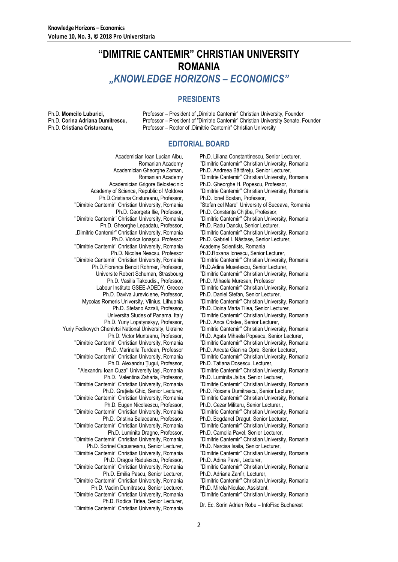# **"DIMITRIE CANTEMIR" CHRISTIAN UNIVERSITY ROMANIA** *"KNOWLEDGE HORIZONS – ECONOMICS"*

### **PRESIDENTS**

Ph.D. **Momcilo Luburici,** Professor – President of "Dimitrie Cantemir" Christian University, Founder Ph.D. **Corina Adriana Dumitrescu,** Professor – President of "Dimitrie Cantemir" Christian University Senate, Founder Professor – Rector of "Dimitrie Cantemir" Christian University

### **EDITORIAL BOARD**

Academician Ioan Lucian Albu, Romanian Academy Academician Gheorghe Zaman, Romanian Academy Academician Grigore Belostecinic Academy of Science, Republic of Moldova Ph.D.Cristiana Cristureanu, Professor, ''Dimitrie Cantemir'' Christian University, Romania Ph.D. Georgeta Ilie, Professor, ''Dimitrie Cantemir'' Christian University, Romania Ph.D. Gheorghe Lepadatu, Professor, "Dimitrie Cantemir" Christian University, Romania Ph.D. Viorica Ionaşcu, Professor ''Dimitrie Cantemir'' Christian University, Romania Ph.D. Nicolae Neacsu, Professor ''Dimitrie Cantemir'' Christian University, Romania Ph.D.Florence Benoit Rohmer, Professor, Universite Robert Schuman, Strasbourg Ph.D. Vasilis Takoudis., Professor, Labour Institute GSEE-ADEDY, Greece Ph.D. Daviva Jureviciene, Professor, Mycolas Romeris University, Vilnius, Lithuania Ph.D. Stefano Azzali, Professor, Universita Studes of Panama, Italy Ph.D. Yuriy Lopatynskyy, Professor, Yuriy Fedkovych Chenivtsi National University, Ukraine Ph.D. Victor Munteanu, Professor, ''Dimitrie Cantemir'' Christian University, Romania Ph.D. Marinella Turdean, Professor ''Dimitrie Cantemir'' Christian University, Romania Ph.D. Alexandru Tugui, Professor, ''Alexandru Ioan Cuza'' University Iaşi, Romania Ph.D. Valentina Zaharia, Professor, ''Dimitrie Cantemir'' Christian University, Romania Ph.D. Graţiela Ghic, Senior Lecturer, ''Dimitrie Cantemir'' Christian University, Romania Ph.D. Eugen Nicolaescu, Professor, ''Dimitrie Cantemir'' Christian University, Romania Ph.D. Cristina Balaceanu, Professor, ''Dimitrie Cantemir'' Christian University, Romania Ph.D. Luminita Dragne, Professor, ''Dimitrie Cantemir'' Christian University, Romania Ph.D. Sorinel Capusneanu, Senior Lecturer, ''Dimitrie Cantemir'' Christian University, Romania Ph.D. Dragos Radulescu, Professor, ''Dimitrie Cantemir'' Christian University, Romania Ph.D. Emilia Pascu, Senior Lecturer, ''Dimitrie Cantemir'' Christian University, Romania Ph.D. Vadim Dumitrascu, Senior Lecturer, ''Dimitrie Cantemir'' Christian University, Romania Ph.D. Rodica Tirlea, Senior Lecturer, ''Dimitrie Cantemir'' Christian University, Romania Dr. Ec. Sorin Adrian Robu – InfoFisc Bucharest

Ph.D. Liliana Constantinescu, Senior Lecturer, ''Dimitrie Cantemir'' Christian University, Romania Ph.D. Andreea Băltăreţu, Senior Lecturer, ''Dimitrie Cantemir'' Christian University, Romania Ph.D. Gheorghe H. Popescu, Professor, ''Dimitrie Cantemir'' Christian University, Romania Ph.D. Ionel Bostan, Professor, ''Stefan cel Mare'' University of Suceava, Romania Ph.D. Constanta Chitiba, Professor, ''Dimitrie Cantemir'' Christian University, Romania Ph.D. Radu Danciu, Senior Lecturer, ''Dimitrie Cantemir'' Christian University, Romania Ph.D. Gabriel I. Năstase, Senior Lecturer, Academy Scientists, Romania Ph.D.Roxana Ionescu, Senior Lecturer, ''Dimitrie Cantemir'' Christian University, Romania Ph.D.Adina Musetescu, Senior Lecturer, ''Dimitrie Cantemir'' Christian University, Romania Ph.D. Mihaela Muresan, Professor ''Dimitrie Cantemir'' Christian University, Romania Ph.D. Daniel Stefan, Senior Lecturer, ''Dimitrie Cantemir'' Christian University, Romania Ph.D. Doina Maria Tilea, Senior Lecturer, ''Dimitrie Cantemir'' Christian University, Romania Ph.D. Anca Cristea, Senior Lecturer, ''Dimitrie Cantemir'' Christian University, Romania Ph.D. Agata Mihaela Popescu, Senior Lecturer, ''Dimitrie Cantemir'' Christian University, Romania Ph.D. Ancuta Gianina Opre, Senior Lecturer, ''Dimitrie Cantemir'' Christian University, Romania Ph.D. Tatiana Dosescu, Lecturer, ''Dimitrie Cantemir'' Christian University, Romania Ph.D. Luminita Jalba, Senior Lecturer, ''Dimitrie Cantemir'' Christian University, Romania Ph.D. Roxana Dumitrascu, Senior Lecturer, ''Dimitrie Cantemir'' Christian University, Romania Ph.D. Cezar Militaru, Senior Lecturer., ''Dimitrie Cantemir'' Christian University, Romania Ph.D. Bogdanel Dragut, Senior Lecturer, ''Dimitrie Cantemir'' Christian University, Romania Ph.D. Camelia Pavel, Senior Lecturer, ''Dimitrie Cantemir'' Christian University, Romania Ph.D. Narcisa Isaila, Senior Lecturer, ''Dimitrie Cantemir'' Christian University, Romania Ph.D. Adina Pavel, Lecturer, ''Dimitrie Cantemir'' Christian University, Romania Ph.D. Adriana Zanfir, Lecturer, ''Dimitrie Cantemir'' Christian University, Romania Ph.D. Mirela Niculae, Assistent, ''Dimitrie Cantemir'' Christian University, Romania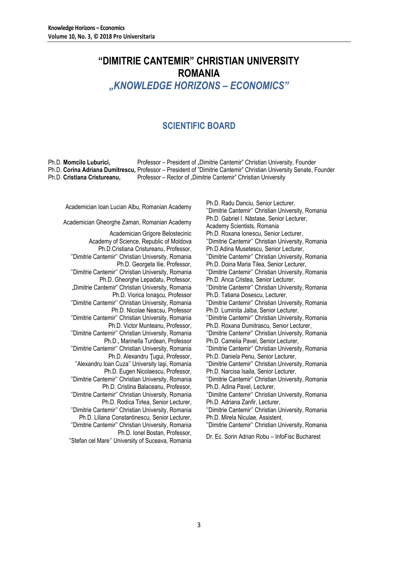# **"DIMITRIE CANTEMIR" CHRISTIAN UNIVERSITY ROMANIA**

*"KNOWLEDGE HORIZONS – ECONOMICS"*

## **SCIENTIFIC BOARD**

Ph.D. **Momcilo Luburici,** Professor – President of "Dimitrie Cantemir" Christian University, Founder Ph.D. **Corina Adriana Dumitrescu,** Professor – President of "Dimitrie Cantemir" Christian University Senate, Founder Ph.D. Cristiana Cristureanu, Professor – Rector of "Dimitrie Cantemir" Christian University

Academician Gheorghe Zaman, Romanian Academy

Academician Grigore Belostecinic Academy of Science, Republic of Moldova Ph.D.Cristiana Cristureanu, Professor, ''Dimitrie Cantemir'' Christian University, Romania Ph.D. Georgeta Ilie, Professor, ''Dimitrie Cantemir'' Christian University, Romania Ph.D. Gheorghe Lepadatu, Professor, "Dimitrie Cantemir" Christian University, Romania Ph.D. Viorica Ionaşcu, Professor ''Dimitrie Cantemir'' Christian University, Romania Ph.D. Nicolae Neacsu, Professor ''Dimitrie Cantemir'' Christian University, Romania Ph.D. Victor Munteanu, Professor, ''Dimitrie Cantemir'' Christian University, Romania Ph.D., Marinella Turdean, Professor ''Dimitrie Cantemir'' Christian University, Romania Ph.D. Alexandru Ţugui, Professor, ''Alexandru Ioan Cuza'' University Iaşi, Romania Ph.D. Eugen Nicolaescu, Professor, ''Dimitrie Cantemir'' Christian University, Romania Ph.D. Cristina Balaceanu, Professor, ''Dimitrie Cantemir'' Christian University, Romania Ph.D. Rodica Tirlea, Senior Lecturer, ''Dimitrie Cantemir'' Christian University, Romania Ph.D. Liliana Constantinescu, Senior Lecturer, ''Dimitrie Cantemir'' Christian University, Romania Ph.D. Ionel Bostan, Professor,

''Stefan cel Mare'' University of Suceava, Romania Dr. Ec. Sorin Adrian Robu – InfoFisc Bucharest

Academician Ioan Lucian Albu, Romanian Academy Ph.D. Radu Danciu, Senior Lecturer, "Dimitrie Cantemir" Christian University, Romania<br>Ph.D. Gabriel I. Năstase, Senior Lecturer, Academy Scientists, Romania Ph.D. Roxana Ionescu, Senior Lecturer, ''Dimitrie Cantemir'' Christian University, Romania Ph.D.Adina Musetescu, Senior Lecturer, ''Dimitrie Cantemir'' Christian University, Romania Ph.D. Doina Maria Tilea, Senior Lecturer, ''Dimitrie Cantemir'' Christian University, Romania Ph.D. Anca Cristea, Senior Lecturer, ''Dimitrie Cantemir'' Christian University, Romania Ph.D. Tatiana Dosescu, Lecturer, ''Dimitrie Cantemir'' Christian University, Romania Ph.D. Luminita Jalba, Senior Lecturer, ''Dimitrie Cantemir'' Christian University, Romania Ph.D. Roxana Dumitrascu, Senior Lecturer, ''Dimitrie Cantemir'' Christian University, Romania Ph.D. Camelia Pavel, Senior Lecturer, ''Dimitrie Cantemir'' Christian University, Romania Ph.D. Daniela Penu, Senior Lecturer, ''Dimitrie Cantemir'' Christian University, Romania Ph.D. Narcisa Isaila, Senior Lecturer, ''Dimitrie Cantemir'' Christian University, Romania Ph.D. Adina Pavel, Lecturer, ''Dimitrie Cantemir'' Christian University, Romania Ph.D. Adriana Zanfir, Lecturer, ''Dimitrie Cantemir'' Christian University, Romania Ph.D. Mirela Niculae, Assistent, ''Dimitrie Cantemir'' Christian University, Romania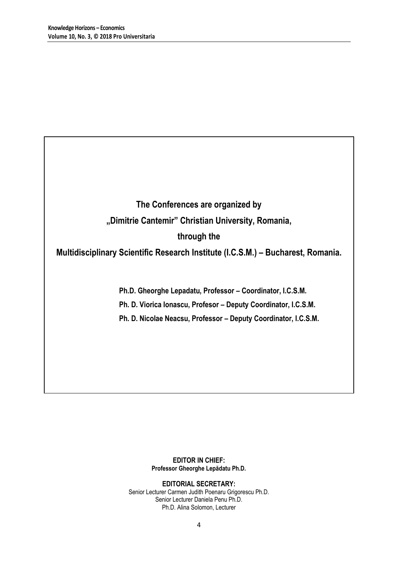# **The Conferences are organized by "Dimitrie Cantemir" Christian University, Romania, through the**

### **Multidisciplinary Scientific Research Institute (I.C.S.M.) – Bucharest, Romania.**

**Ph.D. Gheorghe Lepadatu, Professor – Coordinator, I.C.S.M.**

**Ph. D. Viorica Ionascu, Profesor – Deputy Coordinator, I.C.S.M.**

**Ph. D. Nicolae Neacsu, Professor – Deputy Coordinator, I.C.S.M.**

### **EDITOR IN CHIEF: Professor Gheorghe Lepădatu Ph.D.**

**EDITORIAL SECRETARY:** Senior Lecturer Carmen Judith Poenaru Grigorescu Ph.D. Senior Lecturer Daniela Penu Ph.D. Ph.D. Alina Solomon, Lecturer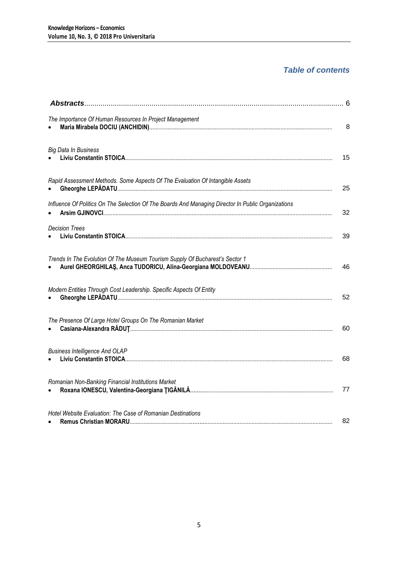### *Table of contents*

| The Importance Of Human Resources In Project Management                                            | 8  |
|----------------------------------------------------------------------------------------------------|----|
| <b>Big Data In Business</b>                                                                        | 15 |
| Rapid Assessment Methods. Some Aspects Of The Evaluation Of Intangible Assets                      | 25 |
| Influence Of Politics On The Selection Of The Boards And Managing Director In Public Organizations | 32 |
| <b>Decision Trees</b>                                                                              | 39 |
| Trends In The Evolution Of The Museum Tourism Supply Of Bucharest's Sector 1                       | 46 |
| Modern Entities Through Cost Leadership. Specific Aspects Of Entity                                | 52 |
| The Presence Of Large Hotel Groups On The Romanian Market                                          | 60 |
| <b>Business Intelligence And OLAP</b>                                                              | 68 |
| Romanian Non-Banking Financial Institutions Market                                                 | 77 |
| Hotel Website Evaluation: The Case of Romanian Destinations                                        | 82 |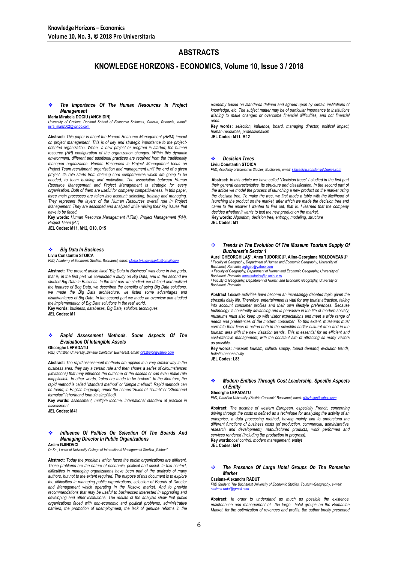### **ABSTRACTS**

**KNOWLEDGE HORIZONS - ECONOMICS, Volume 10, Issue 3 / 2018**

#### *The Importance Of The Human Resources In Project Management*

**Maria Mirabela DOCIU (ANCHIDIN)**

*University of Craiova, Doctoral School of Economic Sciences, Craiova, Romania, e-mail:*  [mira\\_mari2002@yahoo.com](mailto:mira_mari2002@yahoo.com)

**Abstract:** *This paper is about the Human Resource Management (HRM) impact on project management. This is of key and strategic importance to the projectoriented organization. When a new project or program is started, the human resource (HR) configuration of the organization changes. Within this dynamic environment, different and additional practices are required from the traditionally managed organization. Human Resources in Project Management focus on Project Team recruitment, organization and management until the end of a given*  project. Its role starts from defining core competencies which are going to be *needed, to team building and motivation. The association between Human Resource Management and Project Management is strategic for every organisation. Both of them are useful for company competitiveness. In this paper, three main processes are taken into account: selecting, training and managing. They represent the layers of the Human Resources overall role in Project Management. They are described and analyzed while raising their key issues that have to be faced.*

**Key words:** *Human Resource Management (HRM), Project Management (PM), Project Team (PT)*

**JEL Codes: M11, M12, O10, O15**

#### *Big Data In Business* **Liviu Constantin STOICA**

*PhD, Academy of Economic Studies, Bucharest, email[: stoica.liviu.constantin@gmail.com](mailto:stoica.liviu.constantin@gmail.com)*

**Abstract:** *The present article titled "Big Data in Business" was done in two parts, that is, in the first part we conducted a study on Big Data, and in the second we studied Big Data in Business. In the first part we studied: we defined and realized the features of Bog Data, we described the benefits of using Big Data solutions, we made the Big Data architecture, we listed some advantages and disadvantages of Big Data. In the second part we made an overview and studied the implementation of Big Data solutions in the real world.*

**Key words:** *business, databases, Big Data, solution, techniques* **JEL Codes: M1**

#### *Rapid Assessment Methods. Some Aspects Of The Evaluation Of Intangible Assets*  **Gheorghe LEPADATU**

*PhD, Christian University "Dimitrie Cantemir" Bucharest, email: [cilezbujor@yahoo.com](mailto:cilezbujor@yahoo.com)*

**Abstract:** *The rapid assessment methods are applied in a very similar way in the business area: they say a certain rule and then shows a series of circumstances (limitations) that may influence the outcome of the assess or can even make rule inapplicable. In other words, "rules are made to be broken". In the literature, the rapid method is called "standard method" or "simple method". Rapid methods can rapid method is called "standard method" or "simple method". Rapid methods can be found, in English language, under the names "Rules of Thumb" or "Shorthand formulae" (shorthand formula simplified).*

**Key words:** *assessment, multiple income, international standard of practice in assessment*

**JEL Codes: M41**

#### *Influence Of Politics On Selection Of The Boards And Managing Director In Public Organizations* **Arsim GJINOVCI**

*Dr.Sc., Lector at University College of International Management Studies "Globus"*

**Abstract:** *Today the problems which faced the public organizations are different. These problems are the nature of economic, political and social. In this context, difficulties in managing organizations have been part of the analysis of many authors, but not to the extent required. The purpose of this document is to explore the difficulties in managing public organizations, selection of Boards of Director*  and Management which operating in the Kosovo market. And to provide *recommendations that may be useful to businesses interested in upgrading and developing and other institutions. The results of the analysis show that public organizations faced with non-economic and political problems, administrative*  barriers, the promotion of unemployment, the lack of genuine reforms in the

*economy based on standards defined and agreed upon by certain institutions of knowledge, etc. The subject matter may be of particular importance to Institutions*  wishing to make changes or overcome financial difficulties, and not financial *ones.*

**Key words:** *selection, influence, board, managing director, political impact, human resources, professionalism*

**JEL Codes: M11, M12**

#### *Decision Trees*

**Liviu Constantin STOICA** *PhD, Academy of Economic Studies, Bucharest, email[: stoica.liviu.constantin@gmail.com](mailto:stoica.liviu.constantin@gmail.com)*

**Abstract:** *In this article we have called "Decision trees" I studied in the first part their general characteristics, its structure and classification. In the second part of the article we model the process of launching a new product on the market using the decision tree. To make the tree, we first made a table with the likelihood of launching the product on the market, after which we made the decision tree and came to the answer I wanted to find out, that is, I learned that the company decides whether it wants to test the new product on the market.* **Key words:** *Algorithm, decision tree, entropy, modeling, structure* **JEL Codes: M1**

#### *Trends In The Evolution Of The Museum Tourism Supply Of Bucharest's Sector 1*

**Aurel GHEORGHILAŞ<sup>1</sup> , Anca TUDORICU<sup>2</sup> , Alina-Georgiana MOLDOVEANU<sup>3</sup>** <sup>1</sup>*Faculty of Geography, Department of Human and Economic Geography, University of Bucharest, Romania*, *agher* 

<sup>2</sup> *Faculty of Geography, Department of Human and Economic Geography, University of*  **Bucharest, Romania, anca.tudoricu@** <sup>3</sup> *Faculty of Geography, Department of Human and Economic Geography, University of* 

*Bucharest, Romania*

**Abstract** *Leisure activities have become an increasingly debated topic given the stressful daily life. Therefore, entertainment is vital for any tourist attraction, taking into account consumer profiles and their own lifestyle preferences. Because technology is constantly advancing and is pervasive in the life of modern society, museums must also keep up with visitor expectations and meet a wide range of needs and preferences of the modern consumer. To this extent, museums must correlate their lines of action both in the scientific and/or cultural area and in the tourism area with the new visitation trends. This is essential for an efficient and cost-effective management, with the constant aim of attracting as many visitors as possible.*

**Key words:** *museum tourism, cultural supply, tourist demand, evolution trends, holistic accessibility*

**JEL Codes: L83**

#### *Modern Entities Through Cost Leadership. Specific Aspects of Entity*

### **Gheorghe LEPADATU**

*PhD, Christian University "Dimitrie Cantemir" Bucharest, email: [cilezbujor@yahoo.com](mailto:cilezbujor@yahoo.com)*

**Abstract:** *The doctrine of western European, especially French, concerning driving through the costs is defined as a technique for analyzing the activity of an enterprise, a data processing method, having mainly aim to understand the different functions of business costs (of production, commercial, administrative, research and development), manufactured products, work performed and services rendered (including the production in progress).* **Key words:***cost control, modern management, entityt* **JEL Codes: M41**

#### *The Presence Of Large Hotel Groups On The Romanian Market*

**Casiana-Alexandra RADUT**

*PhD Student, The Bucharest University of Economic Studies, Tourism-Geography, e-mail: [casiana.radut@gmail.com](mailto:casiana.radut@gmail.com)*

**Abstract:** *In order to understand as much as possible the existence, maintenance and management of the large hotel groups on the Romanian Market, for the optimization of revenues and profits, the author briefly presented*